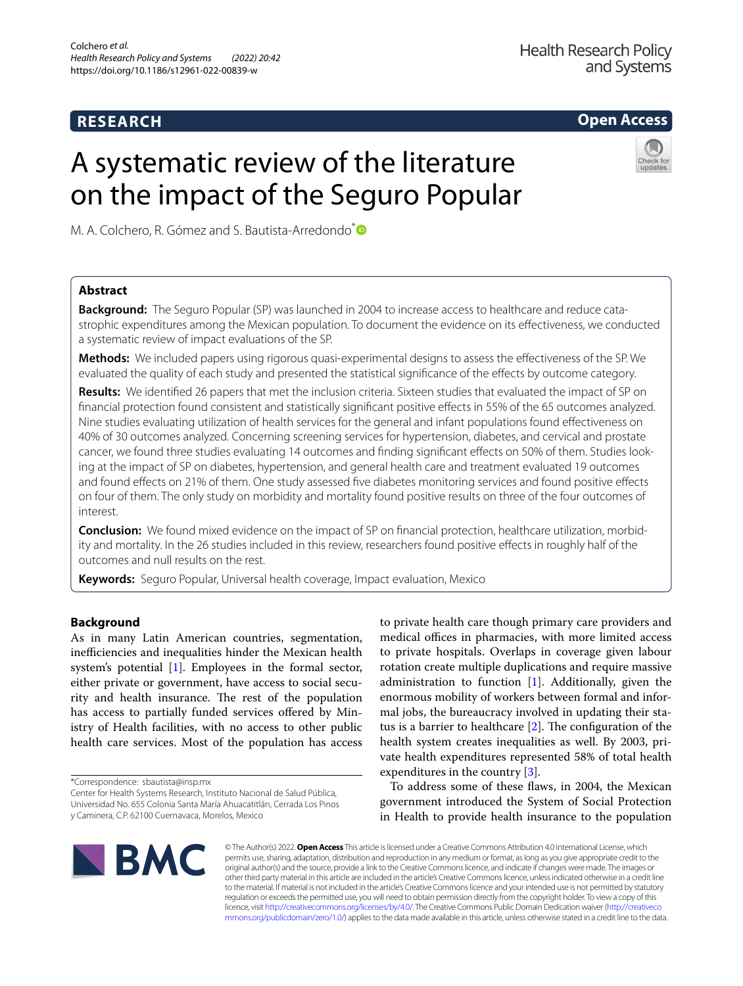# **RESEARCH**

**Open Access**

# A systematic review of the literature on the impact of the Seguro Popular

M. A. Colchero, R. Gómez and S. Bautista-Arredondo<sup>[\\*](http://orcid.org/0000-0001-8910-3011)</sup><sup>®</sup>

# **Abstract**

**Background:** The Seguro Popular (SP) was launched in 2004 to increase access to healthcare and reduce cata‑ strophic expenditures among the Mexican population. To document the evidence on its efectiveness, we conducted a systematic review of impact evaluations of the SP.

**Methods:** We included papers using rigorous quasi-experimental designs to assess the efectiveness of the SP. We evaluated the quality of each study and presented the statistical signifcance of the efects by outcome category.

**Results:** We identifed 26 papers that met the inclusion criteria. Sixteen studies that evaluated the impact of SP on fnancial protection found consistent and statistically signifcant positive efects in 55% of the 65 outcomes analyzed. Nine studies evaluating utilization of health services for the general and infant populations found efectiveness on 40% of 30 outcomes analyzed. Concerning screening services for hypertension, diabetes, and cervical and prostate cancer, we found three studies evaluating 14 outcomes and finding significant effects on 50% of them. Studies looking at the impact of SP on diabetes, hypertension, and general health care and treatment evaluated 19 outcomes and found efects on 21% of them. One study assessed fve diabetes monitoring services and found positive efects on four of them. The only study on morbidity and mortality found positive results on three of the four outcomes of interest.

**Conclusion:** We found mixed evidence on the impact of SP on financial protection, healthcare utilization, morbidity and mortality. In the 26 studies included in this review, researchers found positive efects in roughly half of the outcomes and null results on the rest.

**Keywords:** Seguro Popular, Universal health coverage, Impact evaluation, Mexico

# **Background**

As in many Latin American countries, segmentation, inefficiencies and inequalities hinder the Mexican health system's potential [\[1](#page-7-0)]. Employees in the formal sector, either private or government, have access to social security and health insurance. The rest of the population has access to partially funded services offered by Ministry of Health facilities, with no access to other public health care services. Most of the population has access

\*Correspondence: sbautista@insp.mx

Center for Health Systems Research, Instituto Nacional de Salud Pública, Universidad No. 655 Colonia Santa María Ahuacatitlán, Cerrada Los Pinos y Caminera, C.P. 62100 Cuernavaca, Morelos, Mexico

to private health care though primary care providers and medical offices in pharmacies, with more limited access to private hospitals. Overlaps in coverage given labour rotation create multiple duplications and require massive administration to function [\[1](#page-7-0)]. Additionally, given the enormous mobility of workers between formal and informal jobs, the bureaucracy involved in updating their status is a barrier to healthcare  $[2]$  $[2]$ . The configuration of the health system creates inequalities as well. By 2003, private health expenditures represented 58% of total health expenditures in the country [\[3](#page-8-1)].

To address some of these faws, in 2004, the Mexican government introduced the System of Social Protection in Health to provide health insurance to the population



© The Author(s) 2022. **Open Access** This article is licensed under a Creative Commons Attribution 4.0 International License, which permits use, sharing, adaptation, distribution and reproduction in any medium or format, as long as you give appropriate credit to the original author(s) and the source, provide a link to the Creative Commons licence, and indicate if changes were made. The images or other third party material in this article are included in the article's Creative Commons licence, unless indicated otherwise in a credit line to the material. If material is not included in the article's Creative Commons licence and your intended use is not permitted by statutory regulation or exceeds the permitted use, you will need to obtain permission directly from the copyright holder. To view a copy of this licence, visit [http://creativecommons.org/licenses/by/4.0/.](http://creativecommons.org/licenses/by/4.0/) The Creative Commons Public Domain Dedication waiver ([http://creativeco](http://creativecommons.org/publicdomain/zero/1.0/) [mmons.org/publicdomain/zero/1.0/](http://creativecommons.org/publicdomain/zero/1.0/)) applies to the data made available in this article, unless otherwise stated in a credit line to the data.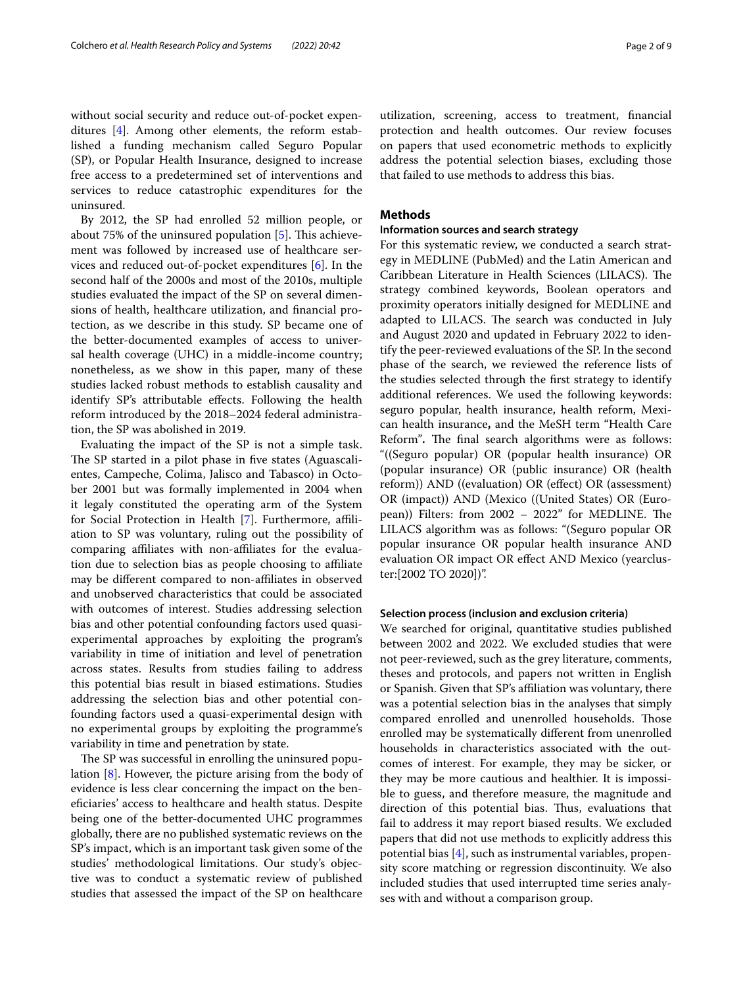without social security and reduce out-of-pocket expenditures [\[4](#page-8-2)]. Among other elements, the reform established a funding mechanism called Seguro Popular (SP), or Popular Health Insurance, designed to increase free access to a predetermined set of interventions and services to reduce catastrophic expenditures for the uninsured.

By 2012, the SP had enrolled 52 million people, or about 75% of the uninsured population  $[5]$  $[5]$ . This achievement was followed by increased use of healthcare services and reduced out-of-pocket expenditures [\[6](#page-8-4)]. In the second half of the 2000s and most of the 2010s, multiple studies evaluated the impact of the SP on several dimensions of health, healthcare utilization, and fnancial protection, as we describe in this study. SP became one of the better-documented examples of access to universal health coverage (UHC) in a middle-income country; nonetheless, as we show in this paper, many of these studies lacked robust methods to establish causality and identify SP's attributable effects. Following the health reform introduced by the 2018–2024 federal administration, the SP was abolished in 2019.

Evaluating the impact of the SP is not a simple task. The SP started in a pilot phase in five states (Aguascalientes, Campeche, Colima, Jalisco and Tabasco) in October 2001 but was formally implemented in 2004 when it legaly constituted the operating arm of the System for Social Protection in Health [[7\]](#page-8-5). Furthermore, affiliation to SP was voluntary, ruling out the possibility of comparing affiliates with non-affiliates for the evaluation due to selection bias as people choosing to afliate may be diferent compared to non-afliates in observed and unobserved characteristics that could be associated with outcomes of interest. Studies addressing selection bias and other potential confounding factors used quasiexperimental approaches by exploiting the program's variability in time of initiation and level of penetration across states. Results from studies failing to address this potential bias result in biased estimations. Studies addressing the selection bias and other potential confounding factors used a quasi-experimental design with no experimental groups by exploiting the programme's variability in time and penetration by state.

The SP was successful in enrolling the uninsured population [\[8](#page-8-6)]. However, the picture arising from the body of evidence is less clear concerning the impact on the benefciaries' access to healthcare and health status. Despite being one of the better-documented UHC programmes globally, there are no published systematic reviews on the SP's impact, which is an important task given some of the studies' methodological limitations. Our study's objective was to conduct a systematic review of published studies that assessed the impact of the SP on healthcare

utilization, screening, access to treatment, fnancial protection and health outcomes. Our review focuses on papers that used econometric methods to explicitly address the potential selection biases, excluding those that failed to use methods to address this bias.

# **Methods**

# **Information sources and search strategy**

For this systematic review, we conducted a search strategy in MEDLINE (PubMed) and the Latin American and Caribbean Literature in Health Sciences (LILACS). The strategy combined keywords, Boolean operators and proximity operators initially designed for MEDLINE and adapted to LILACS. The search was conducted in July and August 2020 and updated in February 2022 to identify the peer-reviewed evaluations of the SP. In the second phase of the search, we reviewed the reference lists of the studies selected through the frst strategy to identify additional references. We used the following keywords: seguro popular, health insurance, health reform, Mexican health insurance**,** and the MeSH term "Health Care Reform". The final search algorithms were as follows: "((Seguro popular) OR (popular health insurance) OR (popular insurance) OR (public insurance) OR (health reform)) AND ((evaluation) OR (efect) OR (assessment) OR (impact)) AND (Mexico ((United States) OR (European)) Filters: from 2002 - 2022" for MEDLINE. The LILACS algorithm was as follows: "(Seguro popular OR popular insurance OR popular health insurance AND evaluation OR impact OR efect AND Mexico (yearcluster:[2002 TO 2020])".

#### **Selection process (inclusion and exclusion criteria)**

We searched for original, quantitative studies published between 2002 and 2022. We excluded studies that were not peer-reviewed, such as the grey literature, comments, theses and protocols, and papers not written in English or Spanish. Given that SP's afliation was voluntary, there was a potential selection bias in the analyses that simply compared enrolled and unenrolled households. Those enrolled may be systematically diferent from unenrolled households in characteristics associated with the outcomes of interest. For example, they may be sicker, or they may be more cautious and healthier. It is impossible to guess, and therefore measure, the magnitude and direction of this potential bias. Thus, evaluations that fail to address it may report biased results. We excluded papers that did not use methods to explicitly address this potential bias [\[4](#page-8-2)], such as instrumental variables, propensity score matching or regression discontinuity. We also included studies that used interrupted time series analyses with and without a comparison group.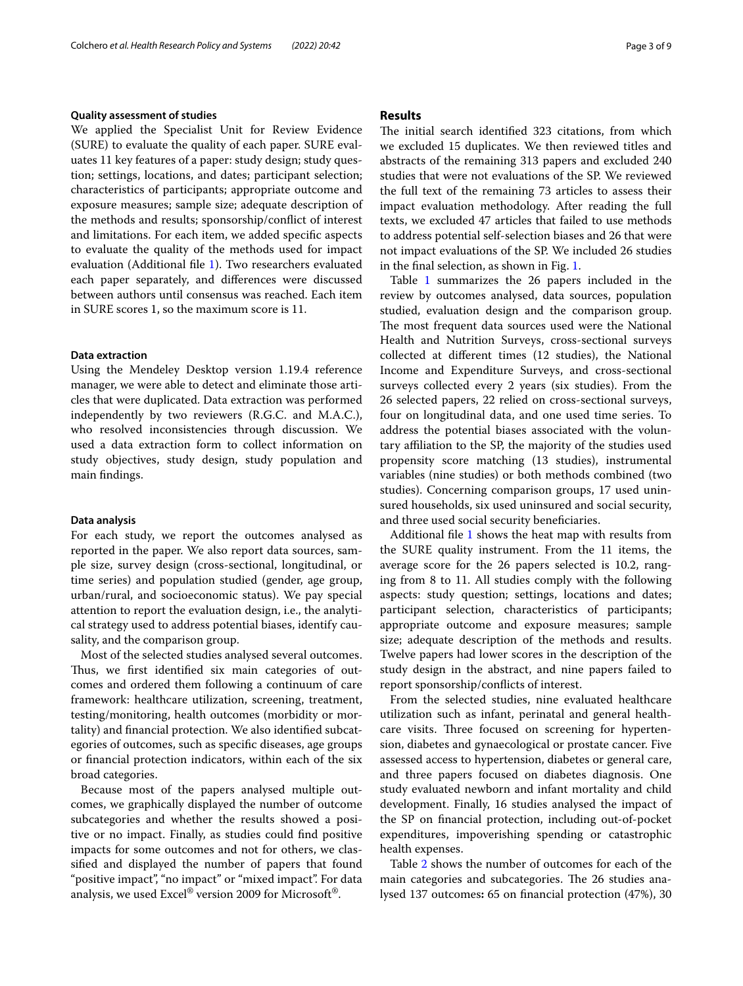#### **Quality assessment of studies**

We applied the Specialist Unit for Review Evidence (SURE) to evaluate the quality of each paper. SURE evaluates 11 key features of a paper: study design; study question; settings, locations, and dates; participant selection; characteristics of participants; appropriate outcome and exposure measures; sample size; adequate description of the methods and results; sponsorship/confict of interest and limitations. For each item, we added specifc aspects to evaluate the quality of the methods used for impact evaluation (Additional fle [1](#page-7-1)). Two researchers evaluated each paper separately, and diferences were discussed between authors until consensus was reached. Each item in SURE scores 1, so the maximum score is 11.

# **Data extraction**

Using the Mendeley Desktop version 1.19.4 reference manager, we were able to detect and eliminate those articles that were duplicated. Data extraction was performed independently by two reviewers (R.G.C. and M.A.C.), who resolved inconsistencies through discussion. We used a data extraction form to collect information on study objectives, study design, study population and main fndings.

#### **Data analysis**

For each study, we report the outcomes analysed as reported in the paper. We also report data sources, sample size, survey design (cross-sectional, longitudinal, or time series) and population studied (gender, age group, urban/rural, and socioeconomic status). We pay special attention to report the evaluation design, i.e., the analytical strategy used to address potential biases, identify causality, and the comparison group.

Most of the selected studies analysed several outcomes. Thus, we first identified six main categories of outcomes and ordered them following a continuum of care framework: healthcare utilization, screening, treatment, testing/monitoring, health outcomes (morbidity or mortality) and fnancial protection. We also identifed subcategories of outcomes, such as specifc diseases, age groups or fnancial protection indicators, within each of the six broad categories.

Because most of the papers analysed multiple outcomes, we graphically displayed the number of outcome subcategories and whether the results showed a positive or no impact. Finally, as studies could fnd positive impacts for some outcomes and not for others, we classifed and displayed the number of papers that found "positive impact", "no impact" or "mixed impact". For data analysis, we used Excel® version 2009 for Microsoft®.

# **Results**

The initial search identified 323 citations, from which we excluded 15 duplicates. We then reviewed titles and abstracts of the remaining 313 papers and excluded 240 studies that were not evaluations of the SP. We reviewed the full text of the remaining 73 articles to assess their impact evaluation methodology. After reading the full texts, we excluded 47 articles that failed to use methods to address potential self-selection biases and 26 that were not impact evaluations of the SP. We included 26 studies in the fnal selection, as shown in Fig. [1.](#page-3-0)

Table [1](#page-4-0) summarizes the 26 papers included in the review by outcomes analysed, data sources, population studied, evaluation design and the comparison group. The most frequent data sources used were the National Health and Nutrition Surveys, cross-sectional surveys collected at diferent times (12 studies), the National Income and Expenditure Surveys, and cross-sectional surveys collected every 2 years (six studies). From the 26 selected papers, 22 relied on cross-sectional surveys, four on longitudinal data, and one used time series. To address the potential biases associated with the voluntary afliation to the SP, the majority of the studies used propensity score matching (13 studies), instrumental variables (nine studies) or both methods combined (two studies). Concerning comparison groups, 17 used uninsured households, six used uninsured and social security, and three used social security benefciaries.

Additional fle [1](#page-7-1) shows the heat map with results from the SURE quality instrument. From the 11 items, the average score for the 26 papers selected is 10.2, ranging from 8 to 11. All studies comply with the following aspects: study question; settings, locations and dates; participant selection, characteristics of participants; appropriate outcome and exposure measures; sample size; adequate description of the methods and results. Twelve papers had lower scores in the description of the study design in the abstract, and nine papers failed to report sponsorship/conficts of interest.

From the selected studies, nine evaluated healthcare utilization such as infant, perinatal and general healthcare visits. Three focused on screening for hypertension, diabetes and gynaecological or prostate cancer. Five assessed access to hypertension, diabetes or general care, and three papers focused on diabetes diagnosis. One study evaluated newborn and infant mortality and child development. Finally, 16 studies analysed the impact of the SP on fnancial protection, including out-of-pocket expenditures, impoverishing spending or catastrophic health expenses.

Table [2](#page-6-0) shows the number of outcomes for each of the main categories and subcategories. The 26 studies analysed 137 outcomes**:** 65 on fnancial protection (47%), 30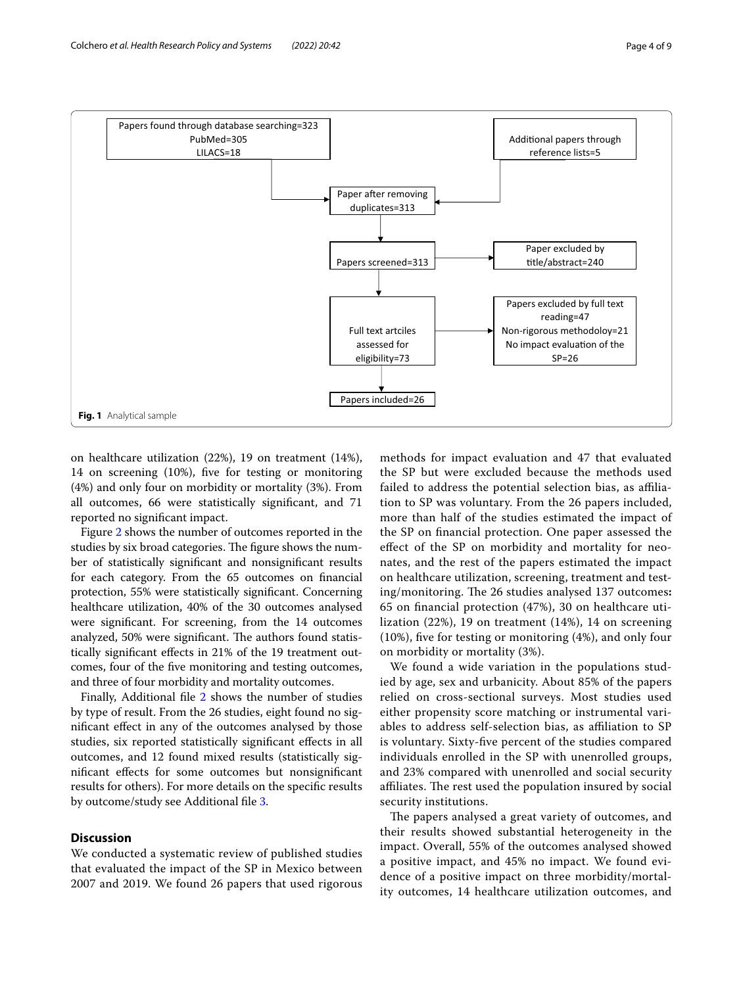

<span id="page-3-0"></span>on healthcare utilization (22%), 19 on treatment (14%), 14 on screening (10%), fve for testing or monitoring (4%) and only four on morbidity or mortality (3%). From all outcomes, 66 were statistically signifcant, and 71 reported no signifcant impact.

Figure [2](#page-6-1) shows the number of outcomes reported in the studies by six broad categories. The figure shows the number of statistically signifcant and nonsignifcant results for each category. From the 65 outcomes on fnancial protection, 55% were statistically signifcant. Concerning healthcare utilization, 40% of the 30 outcomes analysed were signifcant. For screening, from the 14 outcomes analyzed, 50% were significant. The authors found statistically signifcant efects in 21% of the 19 treatment outcomes, four of the fve monitoring and testing outcomes, and three of four morbidity and mortality outcomes.

Finally, Additional file [2](#page-7-2) shows the number of studies by type of result. From the 26 studies, eight found no signifcant efect in any of the outcomes analysed by those studies, six reported statistically signifcant efects in all outcomes, and 12 found mixed results (statistically signifcant efects for some outcomes but nonsignifcant results for others). For more details on the specifc results by outcome/study see Additional fle [3](#page-7-3).

# **Discussion**

We conducted a systematic review of published studies that evaluated the impact of the SP in Mexico between 2007 and 2019. We found 26 papers that used rigorous methods for impact evaluation and 47 that evaluated the SP but were excluded because the methods used failed to address the potential selection bias, as afliation to SP was voluntary. From the 26 papers included, more than half of the studies estimated the impact of the SP on fnancial protection. One paper assessed the efect of the SP on morbidity and mortality for neonates, and the rest of the papers estimated the impact on healthcare utilization, screening, treatment and testing/monitoring. The 26 studies analysed 137 outcomes: 65 on fnancial protection (47%), 30 on healthcare utilization (22%), 19 on treatment (14%), 14 on screening (10%), fve for testing or monitoring (4%), and only four on morbidity or mortality (3%).

We found a wide variation in the populations studied by age, sex and urbanicity. About 85% of the papers relied on cross-sectional surveys. Most studies used either propensity score matching or instrumental variables to address self-selection bias, as afliation to SP is voluntary. Sixty-fve percent of the studies compared individuals enrolled in the SP with unenrolled groups, and 23% compared with unenrolled and social security affiliates. The rest used the population insured by social security institutions.

The papers analysed a great variety of outcomes, and their results showed substantial heterogeneity in the impact. Overall, 55% of the outcomes analysed showed a positive impact, and 45% no impact. We found evidence of a positive impact on three morbidity/mortality outcomes, 14 healthcare utilization outcomes, and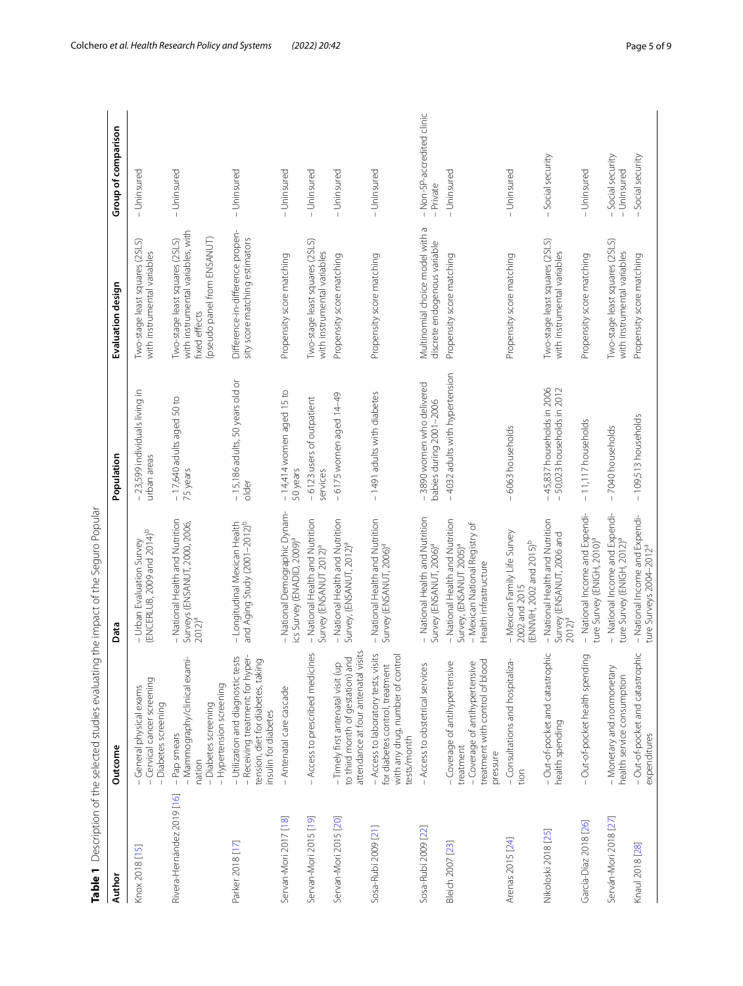<span id="page-4-0"></span>

| Ì                                                  |
|----------------------------------------------------|
| $\overline{)}$<br>J<br>1<br>$\overline{ }$         |
| $+$ $+$ $+$ $+$<br>1                               |
| $\overline{a}$                                     |
| ことこ いこてこもい て<br>j<br>í<br>J                        |
| )<br>)<br>)<br>l<br>$\frac{1}{2}$<br>í<br>$\vdots$ |
| ;<br>;<br>;<br>.<br>ו                              |
| ١<br>l<br>í<br>í<br>l                              |

| Author                     | Outcome                                                                                                                               | Data                                                                                                                              | Population                                                             | Evaluation design                                                                                                   | Group of comparison                     |
|----------------------------|---------------------------------------------------------------------------------------------------------------------------------------|-----------------------------------------------------------------------------------------------------------------------------------|------------------------------------------------------------------------|---------------------------------------------------------------------------------------------------------------------|-----------------------------------------|
| Knox 2018 [15]             | - Cervical cancer screening<br>- General physical exams<br>- Diabetes screening                                                       | ENCERLUB, 2009 and 2014) <sup>b</sup><br>- Urban Evaluation Survey                                                                | - 23,599 individuals living in<br>urban areas                          | Two-stage least squares (2SLS)<br>with instrumental variables                                                       | - Uninsured                             |
| Rivera-Hernández 2019 [16] | - Mammography/clinical exami-<br>- Hypertension screening<br>- Diabetes screening<br>- Pap smears<br>nation                           | - National Health and Nutrition<br>Surveys (ENSANUT, 2000, 2006,<br>2012) <sup>a</sup>                                            | $-17,640$ adults aged 50 to<br>75 years                                | with instrumental variables, with<br>(pseudo panel from ENSANUT)<br>Iwo-stage least squares (2SLS)<br>fixed effects | - Uninsured                             |
| Parker 2018 [17]           | - Utilization and diagnostic tests<br>- Receiving treatment: for hyper-<br>tension, diet for diabetes, taking<br>insulin for diabetes | and Aging Study (2001-2012) <sup>b</sup><br>- Longitudinal Mexican Health                                                         | - 15,186 adults, 50 years old or<br>older                              | Difference-in-difference propen-<br>sity score matching estimators                                                  | - Uninsured                             |
| Servan-Mori 2017 [18]      | - Antenatal care cascade                                                                                                              | -National Demographic Dynam-<br>ics Survey (ENADID, 2009) <sup>a</sup>                                                            | $-14,414$ women aged 15 to<br>50 years                                 | Propensity score matching                                                                                           | - Uninsured                             |
| Servan-Mori 2015 [19]      | - Access to prescribed medicines                                                                                                      | - National Health and Nutrition<br>Survey (ENSANUT 2012) <sup>a</sup>                                                             | -6123 users of outpatient<br>services                                  | Two-stage least squares (2SLS)<br>with instrumental variables                                                       | - Uninsured                             |
| Servan-Mori 2015 [20]      | to third month of gestation) and<br>attendance at four antenatal visit<br>- Timely first antenatal visit (up                          | - National Health and Nutrition<br>Survey, (ENSANUT, 2012)°                                                                       | -6175 women aged 14-49                                                 | Propensity score matching                                                                                           | - Uninsured                             |
| Sosa-Rubí 2009 [21]        | - Access to laboratory tests, visits<br>with any drug, number of contro<br>for diabetes control, treatment<br>tests/month             | – National Health and Nutrition<br>Survey (ENSANUT, 2006) <sup>a</sup>                                                            | - 1491 adults with diabetes                                            | Propensity score matching                                                                                           | - Uninsured                             |
| Sosa-Rubí 2009 [22]        | - Access to obstetrical services                                                                                                      | - National Health and Nutrition<br>Survey (ENSANUT, 2006) <sup>a</sup>                                                            | -3890 women who delivered<br>babies during 2001-2006                   | Multinomial choice model with a<br>discrete endogenous variable                                                     | - Non-SP-accredited clinic<br>- Private |
| Bleich 2007 [23]           | treatment with control of blood<br>- Coverage of antihypertensive<br>- Coverage of antihypertensive<br>treatment<br>pressure          | - National Health and Nutrition<br>- Mexican National Registry of<br>Survey, (ENSANUT 2005) <sup>a</sup><br>Health infrastructure | -4032 adults with hypertension                                         | Propensity score matching                                                                                           | - Uninsured                             |
| Arenas 2015 [24]           | - Consultations and hospitaliza-<br>tion                                                                                              | - Mexican Family Life Survey<br>(ENNViH, 2002 and 2015) <sup>b</sup><br>2002 and 2015                                             | -6063 households                                                       | Propensity score matching                                                                                           | - Uninsured                             |
| Nikoloski 2018 [25]        | - Out-of-pocket and catastrophic<br>health spending                                                                                   | - National Health and Nutrition<br>Survey (ENSANUT, 2006 and<br>$2012)^{a}$                                                       | $-45,837$ households in 2006<br>50,023 households in 2012<br>$\bar{1}$ | Two-stage least squares (2SLS)<br>with instrumental variables                                                       | -Social security                        |
| García-Díaz 2018 [26]      | - Out-of-pocket health spending                                                                                                       | - National Income and Expendi-<br>ture Survey (ENIGH, 2010)ª                                                                      | $-11,117$ households                                                   | Propensity score matching                                                                                           | - Uninsured                             |
| Serván-Mori 2018 [27]      | - Monetary and nonmonetary<br>health service consumption                                                                              | - National Income and Expendi-<br>ture Survey (ENIGH, 2012) <sup>a</sup>                                                          | -7040 households                                                       | Two-stage least squares (2SLS)<br>with instrumental variables                                                       | -Social security<br>- Uninsured         |
| Knaul 2018 [28]            | - Out-of-pocket and catastrophic<br>expenditures                                                                                      | – National Income and Expendi-<br>ture Surveys 2004–2012 <sup>a</sup>                                                             | - 109,513 households                                                   | Propensity score matching                                                                                           | Social security                         |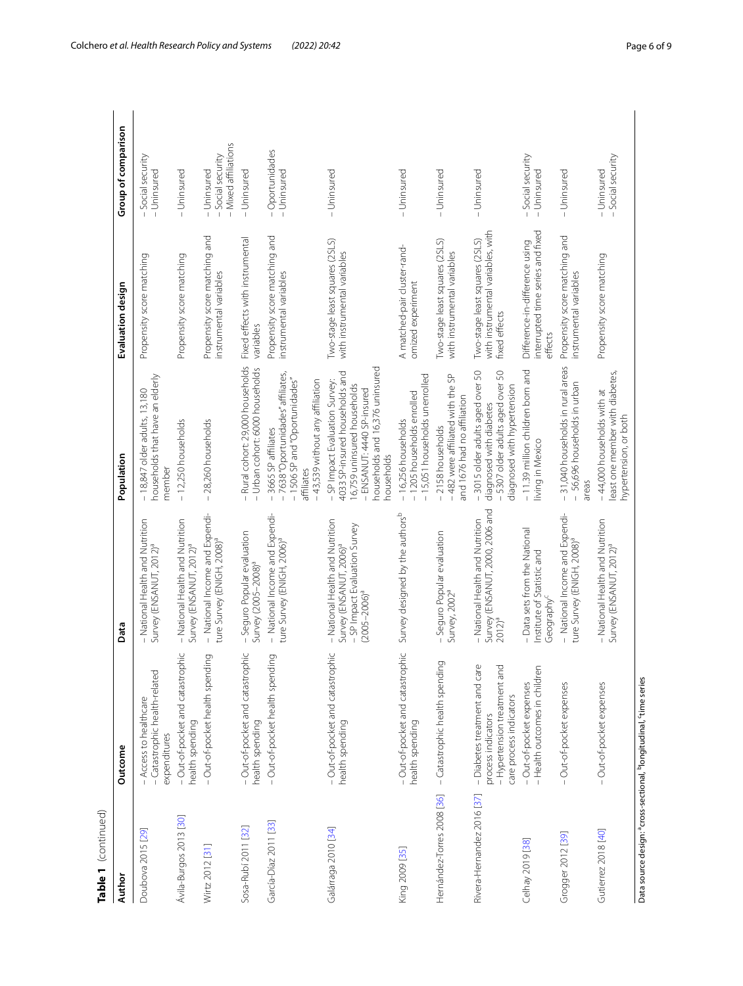| Table 1 (continued)        |                                                                                                                |                                                                                                                                     |                                                                                                                                                                                |                                                                                      |                                                          |
|----------------------------|----------------------------------------------------------------------------------------------------------------|-------------------------------------------------------------------------------------------------------------------------------------|--------------------------------------------------------------------------------------------------------------------------------------------------------------------------------|--------------------------------------------------------------------------------------|----------------------------------------------------------|
| Author                     | Outcome                                                                                                        | Data                                                                                                                                | Population                                                                                                                                                                     | Evaluation design                                                                    | Group of comparison                                      |
| Doubova 2015 [29]          | - Catastrophic health-related<br>- Access to healthcare<br>expenditures                                        | - National Health and Nutrition<br>Survey (ENSANUT, 2012) <sup>a</sup>                                                              | households that have an elderly<br>$-18,847$ older adults, 13,180<br>member                                                                                                    | Propensity score matching                                                            | -Social security<br>- Uninsured                          |
| Ávila-Burgos 2013 [30]     | - Out-of-pocket and catastrophic<br>health spending                                                            | - National Health and Nutrition<br>Survey (ENSANUT, 2012) <sup>a</sup>                                                              | -12,250 households                                                                                                                                                             | Propensity score matching                                                            | - Uninsured                                              |
| Wirtz 2012 [31]            | Out-of-pocket health spending                                                                                  | - National Income and Expendi-<br>ture Survey (ENIGH, 2008) <sup>a</sup>                                                            | -28,260 households                                                                                                                                                             | Propensity score matching and<br>instrumental variables                              | - Mixed affiliations<br>- Social security<br>- Uninsured |
| Sosa-Rubí 2011 [32]        | - Out-of-pocket and catastrophic<br>health spending                                                            | - Seguro Popular evaluation<br>Survey (2005-2008) <sup>2</sup>                                                                      | - Rural cohort: 29,000 households<br>- Urban cohort: 6000 households                                                                                                           | Fixed effects with instrumental<br>variables                                         | - Uninsured                                              |
| García-Díaz 2011 [33]      | Out-of-pocket health spending                                                                                  | - National Income and Expendi-<br>ture Survey (ENIGH, 2006) <sup>a</sup>                                                            | -7638"Oportunidades" affiliates,<br>- 1506 SP and "Oportunidades"<br>-43,539 without any affiliation<br>- 3665 SP affiliates<br>affiliates                                     | Propensity score matching and<br>instrumental variables                              | - Oportunidades<br>- Uninsured                           |
| Galárraga 2010 [34]        | - Out-of-pocket and catastrophic<br>health spending                                                            | - National Health and Nutrition<br>– SP Impact Evaluation Survey<br>(2005–2006) <sup>a</sup><br>Survey (ENSANUT, 2006) <sup>a</sup> | households and 16,376 uninsured<br>4033 SP-insured households and<br>- SP Impact Evaluation Survey:<br>16,759 uninsured households<br>- ENSANUT: 4440 SP-insured<br>households | Two-stage least squares (2SLS)<br>with instrumental variables                        | - Uninsured                                              |
| King 2009 [35]             | - Out-of-pocket and catastrophic<br>health spending                                                            | Survey designed by the authors <sup>b</sup>                                                                                         | -15,051 households unenrolled<br>- 1205 households enrolled<br>-16,256 households                                                                                              | A matched-pair cluster-rand-<br>omized experiment                                    | - Uninsured                                              |
| Hernández-Torres 2008 [36] | - Catastrophic health spending                                                                                 | - Seguro Popular evaluation<br>Survey, 2002 <sup>ª</sup>                                                                            | -482 were affiliated with the SP<br>and 1676 had no affiliation<br>-2158 households                                                                                            | Two-stage least squares (2SLS)<br>with instrumental variables                        | - Uninsured                                              |
| Rivera-Hernandez 2016 [37] | - Diabetes treatment and care<br>- Hypertension treatment and<br>care process indicators<br>process indicators | Survey (ENSANUT, 2000, 2006 and<br>2012) <sup>a</sup><br>- National Health and Nutrition                                            | -3015 older adults aged over 50<br>50<br>-5307 older adults aged over<br>diagnosed with hypertension<br>diagnosed with diabetes                                                | with instrumental variables, with<br>Two-stage least squares (2SLS)<br>fixed effects | - Uninsured                                              |
| Celhay 2019 [38]           | - Out-of-pocket expenses<br>- Health outcomes in children                                                      | - Data sets from the National<br>Institute of Statistic and<br>Geography <sup>c</sup>                                               | - 11.39 million children born and<br>living in Mexico                                                                                                                          | interrupted time series and fixed<br>Difference-in-difference using<br>effects       | -Social security<br>- Uninsured                          |
| Grogger 2012 [39]          | - Out-of-pocket expenses                                                                                       | - National Income and Expendi-<br>ture Survey (ENIGH, 2008) <sup>a</sup>                                                            | -31,040 households in rural areas<br>- 56,696 households in urban<br>areas                                                                                                     | Propensity score matching and<br>nstrumental variables                               | - Uninsured                                              |
| Gutierrez 2018 [40]        | Out-of-pocket expenses                                                                                         | - National Health and Nutrition<br>Survey (ENSANUT, 2012) <sup>a</sup>                                                              | least one member with diabetes,<br>-44,000 households with at<br>hypertension, or both                                                                                         | Propensity score matching                                                            | -Social security<br>- Uninsured                          |
|                            | Data source design: <sup>a</sup> cross-sectional, <sup>b</sup> longitudinal, 'time series                      |                                                                                                                                     |                                                                                                                                                                                |                                                                                      |                                                          |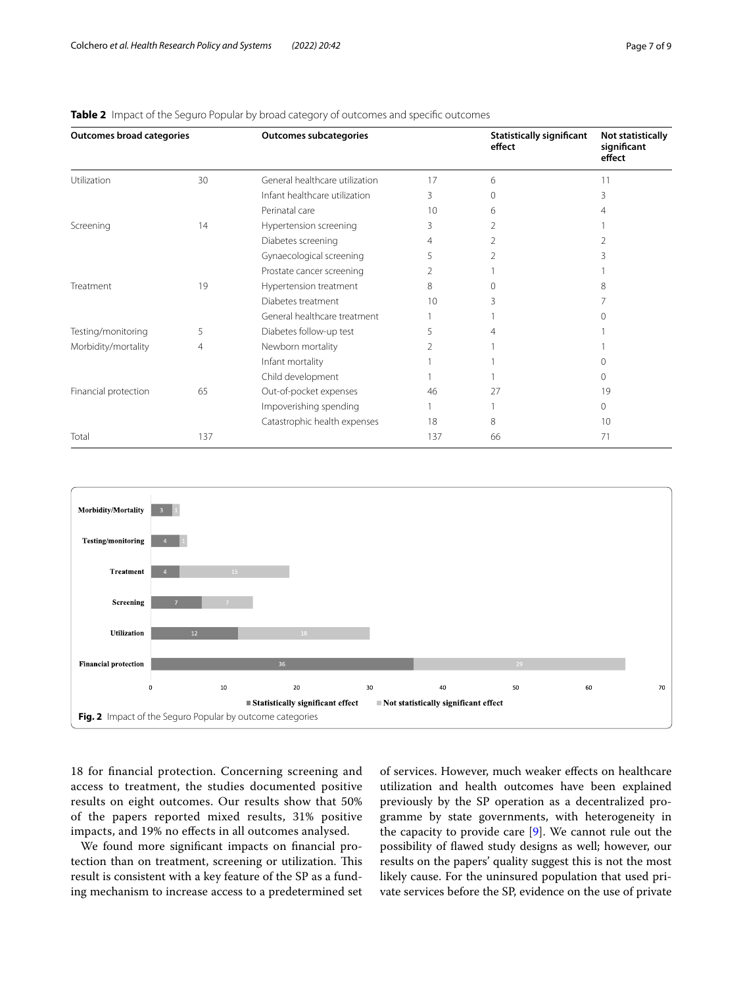| <b>Outcomes broad categories</b> |     | <b>Outcomes subcategories</b>  |     | <b>Statistically significant</b><br>effect | <b>Not statistically</b><br>significant<br>effect |
|----------------------------------|-----|--------------------------------|-----|--------------------------------------------|---------------------------------------------------|
| Utilization                      | 30  | General healthcare utilization | 17  | 6                                          | 11                                                |
|                                  |     | Infant healthcare utilization  | 3   | $\Omega$                                   | 3                                                 |
|                                  |     | Perinatal care                 | 10  | 6                                          | 4                                                 |
| Screening                        | 14  | Hypertension screening         |     |                                            |                                                   |
|                                  |     | Diabetes screening             | 4   | 2                                          | 2                                                 |
|                                  |     | Gynaecological screening       | 5   |                                            |                                                   |
|                                  |     | Prostate cancer screening      | 2   |                                            |                                                   |
| Treatment                        | 19  | Hypertension treatment         | 8   | ∩                                          | 8                                                 |
|                                  |     | Diabetes treatment             | 10  | Β                                          |                                                   |
|                                  |     | General healthcare treatment   |     |                                            |                                                   |
| Testing/monitoring               | 5   | Diabetes follow-up test        | 5   |                                            |                                                   |
| Morbidity/mortality              | 4   | Newborn mortality              | 2   |                                            |                                                   |
|                                  |     | Infant mortality               |     |                                            | ∩                                                 |
|                                  |     | Child development              |     |                                            | $\Omega$                                          |
| Financial protection             | 65  | Out-of-pocket expenses         | 46  | 27                                         | 19                                                |
|                                  |     | Impoverishing spending         |     |                                            | $\mathbf{0}$                                      |
|                                  |     | Catastrophic health expenses   | 18  | 8                                          | 10                                                |
| Total                            | 137 |                                | 137 | 66                                         | 71                                                |

### <span id="page-6-0"></span>**Table 2** Impact of the Seguro Popular by broad category of outcomes and specific outcomes



<span id="page-6-1"></span>18 for fnancial protection. Concerning screening and access to treatment, the studies documented positive results on eight outcomes. Our results show that 50% of the papers reported mixed results, 31% positive impacts, and 19% no efects in all outcomes analysed.

We found more signifcant impacts on fnancial protection than on treatment, screening or utilization. This result is consistent with a key feature of the SP as a funding mechanism to increase access to a predetermined set of services. However, much weaker efects on healthcare utilization and health outcomes have been explained previously by the SP operation as a decentralized programme by state governments, with heterogeneity in the capacity to provide care [\[9](#page-8-33)]. We cannot rule out the possibility of fawed study designs as well; however, our results on the papers' quality suggest this is not the most likely cause. For the uninsured population that used private services before the SP, evidence on the use of private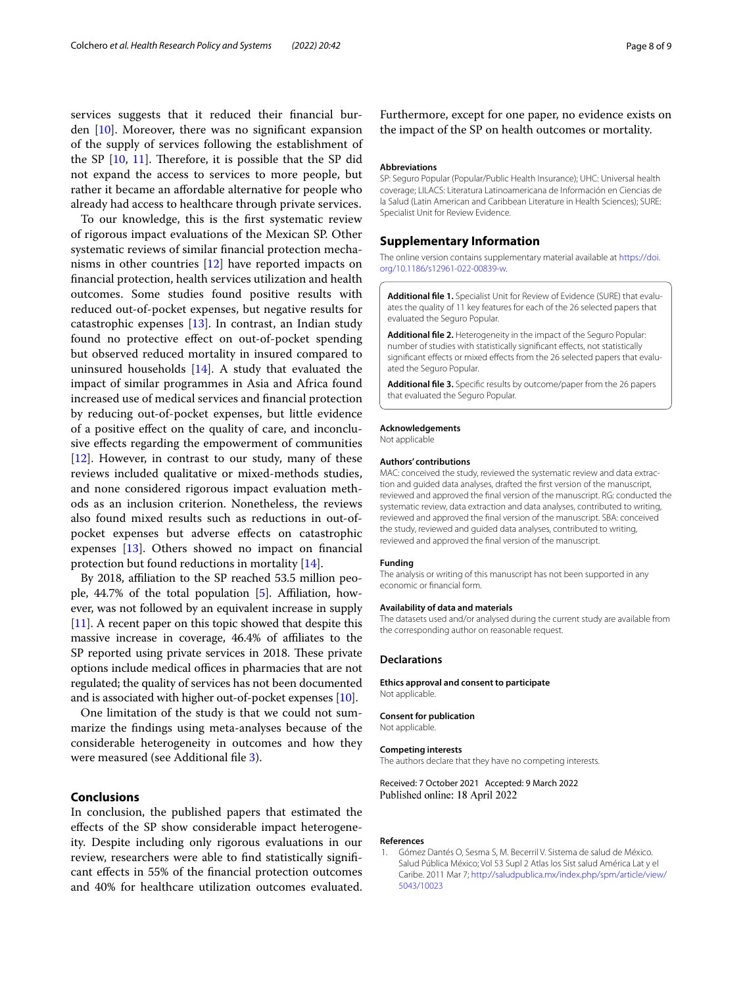services suggests that it reduced their fnancial burden [[10\]](#page-8-34). Moreover, there was no signifcant expansion of the supply of services following the establishment of the SP  $[10, 11]$  $[10, 11]$  $[10, 11]$  $[10, 11]$  $[10, 11]$ . Therefore, it is possible that the SP did not expand the access to services to more people, but rather it became an afordable alternative for people who already had access to healthcare through private services.

To our knowledge, this is the frst systematic review of rigorous impact evaluations of the Mexican SP. Other systematic reviews of similar fnancial protection mechanisms in other countries [\[12](#page-8-36)] have reported impacts on fnancial protection, health services utilization and health outcomes. Some studies found positive results with reduced out-of-pocket expenses, but negative results for catastrophic expenses [\[13\]](#page-8-37). In contrast, an Indian study found no protective efect on out-of-pocket spending but observed reduced mortality in insured compared to uninsured households  $[14]$  $[14]$ . A study that evaluated the impact of similar programmes in Asia and Africa found increased use of medical services and fnancial protection by reducing out-of-pocket expenses, but little evidence of a positive efect on the quality of care, and inconclusive efects regarding the empowerment of communities [[12\]](#page-8-36). However, in contrast to our study, many of these reviews included qualitative or mixed-methods studies, and none considered rigorous impact evaluation methods as an inclusion criterion. Nonetheless, the reviews also found mixed results such as reductions in out-ofpocket expenses but adverse efects on catastrophic expenses [\[13](#page-8-37)]. Others showed no impact on fnancial protection but found reductions in mortality [\[14\]](#page-8-38).

By 2018, afliation to the SP reached 53.5 million people,  $44.7\%$  of the total population [[5\]](#page-8-3). Affiliation, however, was not followed by an equivalent increase in supply [[11](#page-8-35)]. A recent paper on this topic showed that despite this massive increase in coverage, 46.4% of afliates to the SP reported using private services in 2018. These private options include medical offices in pharmacies that are not regulated; the quality of services has not been documented and is associated with higher out-of-pocket expenses [\[10\]](#page-8-34).

One limitation of the study is that we could not summarize the fndings using meta-analyses because of the considerable heterogeneity in outcomes and how they were measured (see Additional file [3\)](#page-7-3).

# **Conclusions**

In conclusion, the published papers that estimated the efects of the SP show considerable impact heterogeneity. Despite including only rigorous evaluations in our review, researchers were able to fnd statistically signifcant efects in 55% of the fnancial protection outcomes and 40% for healthcare utilization outcomes evaluated. Furthermore, except for one paper, no evidence exists on the impact of the SP on health outcomes or mortality.

#### **Abbreviations**

SP: Seguro Popular (Popular/Public Health Insurance); UHC: Universal health coverage; LILACS: Literatura Latinoamericana de Información en Ciencias de la Salud (Latin American and Caribbean Literature in Health Sciences); SURE: Specialist Unit for Review Evidence.

#### **Supplementary Information**

The online version contains supplementary material available at [https://doi.](https://doi.org/10.1186/s12961-022-00839-w) [org/10.1186/s12961-022-00839-w.](https://doi.org/10.1186/s12961-022-00839-w)

<span id="page-7-1"></span>**Additional fle 1.** Specialist Unit for Review of Evidence (SURE) that evalu‑ ates the quality of 11 key features for each of the 26 selected papers that evaluated the Seguro Popular.

<span id="page-7-2"></span>**Additional fle 2.** Heterogeneity in the impact of the Seguro Popular: number of studies with statistically signifcant efects, not statistically significant effects or mixed effects from the 26 selected papers that evaluated the Seguro Popular.

<span id="page-7-3"></span>**Additional fle 3.** Specifc results by outcome/paper from the 26 papers that evaluated the Seguro Popular.

#### **Acknowledgements**

Not applicable

#### **Authors' contributions**

MAC: conceived the study, reviewed the systematic review and data extraction and guided data analyses, drafted the frst version of the manuscript, reviewed and approved the fnal version of the manuscript. RG: conducted the systematic review, data extraction and data analyses, contributed to writing, reviewed and approved the fnal version of the manuscript. SBA: conceived the study, reviewed and guided data analyses, contributed to writing, reviewed and approved the fnal version of the manuscript.

#### **Funding**

The analysis or writing of this manuscript has not been supported in any economic or fnancial form.

#### **Availability of data and materials**

The datasets used and/or analysed during the current study are available from the corresponding author on reasonable request.

#### **Declarations**

**Ethics approval and consent to participate** Not applicable.

#### **Consent for publication**

Not applicable.

#### **Competing interests**

The authors declare that they have no competing interests.

#### Received: 7 October 2021 Accepted: 9 March 2022 Published online: 18 April 2022

#### **References**

<span id="page-7-0"></span>1. Gómez Dantés O, Sesma S, M. Becerril V. Sistema de salud de México. Salud Pública México; Vol 53 Supl 2 Atlas los Sist salud América Lat y el Caribe. 2011 Mar 7; [http://saludpublica.mx/index.php/spm/article/view/](http://saludpublica.mx/index.php/spm/article/view/5043/10023) [5043/10023](http://saludpublica.mx/index.php/spm/article/view/5043/10023)